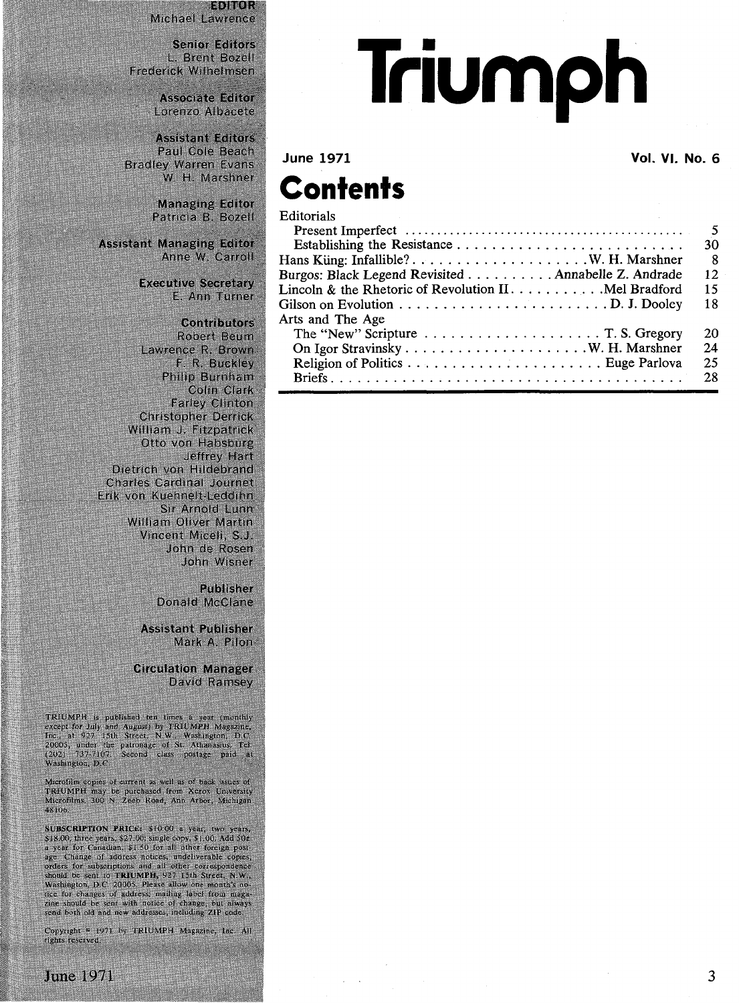**EDITOR** Michael Lawrence

**Senior Editors** L. Brent Bozell Frederick Wilhelmsen

> **Associate Editor** Lorenzo Albacete

**Assistant Editors** Paul Cole Beach **Bradley Warren Evans** W. H. Marshner

> **Managing Editor** Patricia B. Bozell

**Assistant Managing Editor** Anne W. Carroll

> **Executive Secretary** E. Ann Turner

## **Contributors**

Robert Beum Lawrence R. Brown F. R. Buckley Philip Burnham Colin Clark **Farley Clinton Christopher Derrick** William J. Fitzpatrick Otto von Habsburg Jeffrey Hart Dietrich von Hildebrand **Charles Cardinal Journet** Erik von Kuehnelt-Leddihn Sir Arnold Lunn William Oliver Martin Vincent Miceli, S.J. John de Rosen John Wisner

> Publisher Donald McClane

**Assistant Publisher** Mark A. Pilon-

**Circulation Manager** David Ramsey

TRIUMPH is published ten times a year (monthly except for July and August) by TRIUMPH Magazine, Inc., at 927 15th Street, N.W., Washington, D.C. 20005, under the patronage of St. Athranasius, Tel. (202) 53/-7107. Second c

Microfilm copies of current as well as of back issues of<br>TRHUMPH may be purchased from Xerox University<br>Microfilms, 300 N. Zeeb Road, Ann Arbor, Michigan 48106.

SUBSCRIPTION PRICE: \$10.00 a year; two years SUBSCRIPTION PRICE: 11000 a year; two ears, 1200 and 30 s 318.00, three years, 327.00; single copy, \$1,00, Add 50 s a year for Canadian; \$1.50 for all other foreign post-<br>age. Change of address notices, undeliverable copi send both old and new addresses, including ZIP code.

Copyright \* 1971 by TRIUMPH Magazine, Inc. All rights reserved.

## Triumph

## Vol. VI. No. 6

## **Contents**

**June 1971** 

| <b>Editorials</b>                                                                      |    |
|----------------------------------------------------------------------------------------|----|
|                                                                                        |    |
|                                                                                        | 30 |
|                                                                                        | 8  |
| Burgos: Black Legend Revisited Annabelle Z. Andrade                                    | 12 |
| Lincoln & the Rhetoric of Revolution II Mel Bradford                                   | 15 |
|                                                                                        | 18 |
| Arts and The Age                                                                       |    |
| The "New" Scripture $\ldots \ldots \ldots \ldots \ldots \ldots \ldots$ . T. S. Gregory | 20 |
|                                                                                        | 24 |
|                                                                                        | 25 |
|                                                                                        | 28 |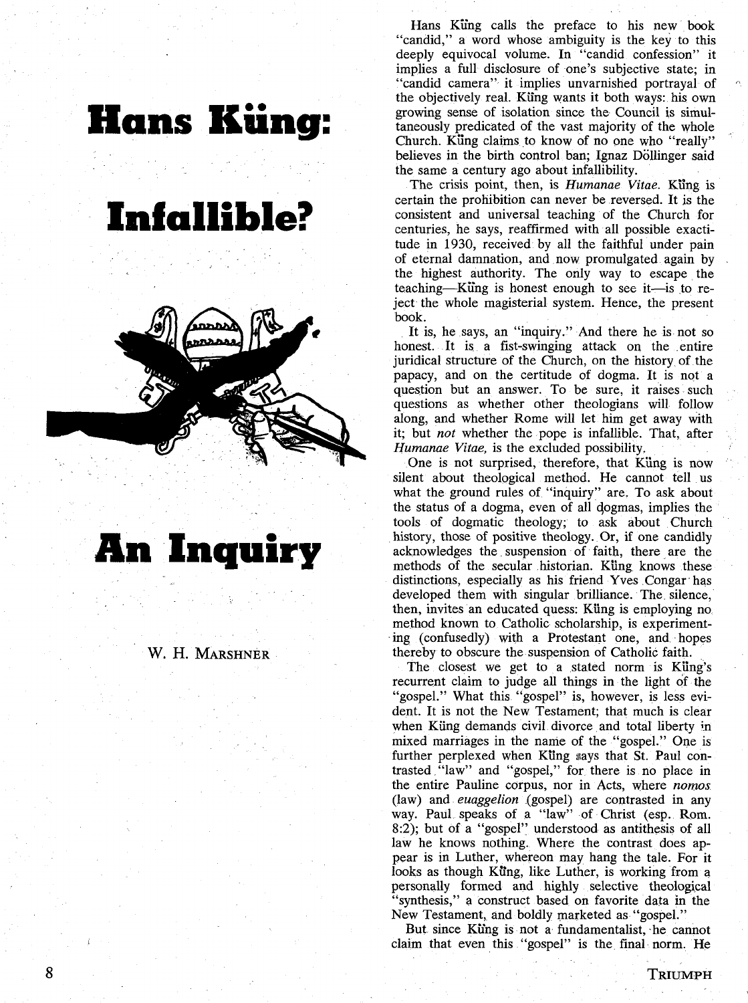

**An Inquiry**

W. H. MARSHNER

Hans Küng calls the preface to his new book "candid," a word whose ambiguity is the key to this deeply equivocal volume. In "candid confession" it implies a full disclosure of one's subjective state; in "candid camera" it implies unvarnished portrayal of the objectively real. Küng wants it both ways: his own growing sense of isolation since the Council is simultaneously predicated of the vast majority of the whole Church. Küng claims to know of no one who "really" believes in the birth control ban; Ignaz Döllinger said the same a century ago about infallibility.

The crisis point, then, is *Humanae Vitae.* Küng is certain the prohibition can never be reversed. It is the consistent and universal teaching of the Church for centuries, he says, reaffirmed with all possible exactitude in 1930, received by all the faithful under pain of eternal damnation, and now promulgated again by the highest authority. The only way to escape the teaching—Kiing is honest enough to see it — is to reject the whole magisterial system. Hence, the present book.

It is, he says, an "inquiry." And there he is not so honest. It is a fist-swinging attack on the entire juridical structure of the Church, on the history of the papacy, and on the certitude of dogma. It is not a question but an answer. To be sure, it raises such questions as whether other theologians will follow along, and whether Rome will let him get away with it; but *not* whether the pope is infallible. That, after *Humanae Vitae,* is the excluded possibility.

One is not surprised, therefore, that Küng is now silent about theological method. He cannot tell us what the ground rules of "inquiry" are. To ask about the status of a dogma, even of all dogmas, implies the tools of dogmatic theology; to ask about Church history, those of positive theology. Or, if one candidly acknowledges the suspension of faith, there are the methods of the secular historian. Küng knows these distinctions, especially as his friend Yves Congar has developed them with singular brilliance. The silence, then, invites an educated quess: Küng is employing no, method known to Catholic scholarship, is experimenting (confusedly) with a Protestant one, and hopes thereby to obscure the suspension of Catholic faith.

The closest we get to a stated norm is Küng's recurrent claim to judge all things in the light of the "gospel." What this "gospel" is, however, is less evident. It is not the New Testament; that much is clear when Küng demands civil divorce and total liberty in mixed marriages in the name of the "gospel." One is further perplexed when Küng says that St. Paul contrasted "law" and "gospel," for there is no place in the entire Pauline corpus, nor in Acts, where *norms* (law) and *euaggelion* (gospel) are contrasted in any way. Paul speaks of a "law" of Christ (esp. Rom. 8:2); but of a "gospel" understood as antithesis of all law he knows nothing. Where the contrast does appear is in Luther, whereon may hang the tale. For it looks as though Küng, like Luther, is working from a personally formed and highly selective theological "synthesis," a construct based on favorite data in the New Testament, and boldly marketed as "gospel."

But since Küng is not a fundamentalist, he cannot claim that even this "gospel" is the final norm. He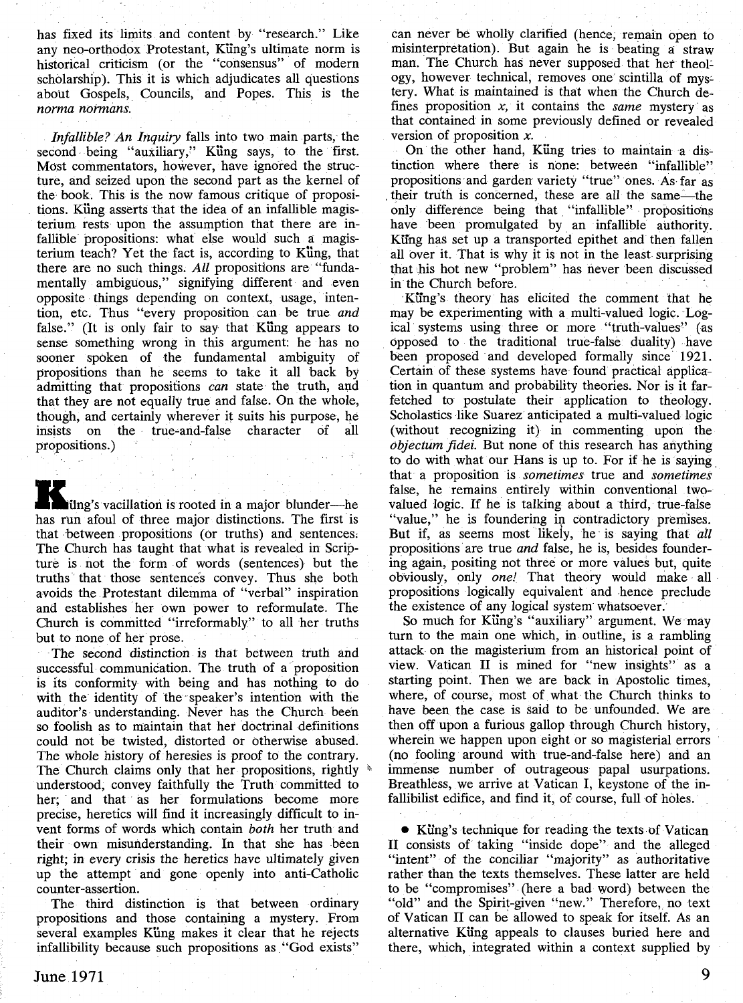has fixed its limits and content by "research." Like any neo-orthodox Protestant, Küng's ultimate norm is historical criticism (or the "consensus" of modern scholarship). This it is which adjudicates all questions about Gospels, Councils, and Popes. This is the *norma normans.*

*Infallible? An Inquiry* falls into two main parts, the second being "auxiliary," Küng says, to the first. Most commentators, however, have ignored the structure, and seized upon the second part as the kernel of the book. This is the now famous critique of propositions. Küng asserts that the idea of an infallible magisterium rests upon the assumption that there are infallible propositions: what else would such a magisterium teach? Yet the fact is, according to Küng, that there are no such things. *All* propositions are "fundamentally ambiguous," signifying different and even opposite things depending on context, usage, intention, etc. Thus "every proposition can be true *and* false." (It is only fair to say that Küng appears to sense something wrong in this argument: he has no sooner spoken of the fundamental ambiguity of propositions than he seems to take it all back by admitting that propositions *can* state the truth, and that they are not equally true and false. On the whole, though, and certainly wherever it suits his purpose, he insists on the true-and-false character of all propositions.)

K üng's vacillation is rooted in a major blunder—he has run afoul of three major distinctions. The first is that between propositions (or truths) and sentences: The Church has taught that what is revealed in Scripture is not the form of words (sentences) but the truths that those sentences convey. Thus she both avoids the Protestant dilemma of "verbal" inspiration and establishes her own power to reformulate. The Church is committed "irreformably" to all her truths but to none of her prose.

The second distinction is that between truth and successful communication. The truth of a proposition is its conformity with being and has nothing to do with the identity of the speaker's intention with the auditor's understanding. Never has the Church been so foolish as to maintain that her doctrinal definitions could not be twisted, distorted or otherwise abused. The whole history of heresies is proof to the contrary. The Church claims only that her propositions, rightly  $*$ understood, convey faithfully the Truth committed to her; and that as her formulations become more precise, heretics will find it increasingly difficult to invent forms of words which contain *both* her truth and their own misunderstanding. In that she has been right; in every crisis the heretics have ultimately given up the attempt and gone openly into anti-Catholic counter-assertion.

The third distinction is that between ordinary propositions and those containing a mystery. From several examples Küng makes it clear that he rejects infallibility because such propositions as "God exists"

can never be wholly clarified (hence, remain open to misinterpretation). But again he is beating a straw man. The Church has never supposed that her theology, however technical, removes one scintilla of mystery. What is maintained is that when the Church defines proposition  $x$ , it contains the *same* mystery as that contained in some previously defined or revealed version of proposition *x.*

On the other hand, Küng tries to maintain a distinction where there is none: between "infallible" propositions and garden variety "true" ones. As far as their truth is concerned, these are all the same — the only difference being that "infallible" propositions have been promulgated by an infallible authority. Küng has set up a transported epithet and then fallen all over it. That is why it is not in the least surprising that his hot new "problem" has never been discussed in the Church before.

Küng's theory has elicited the comment that he may be experimenting with a multi-valued logic. Logical systems using three or more "truth-values" (as opposed to the traditional true-false duality) have been proposed and developed formally since 1921. Certain of these systems have found practical application in quantum and probability theories. Nor is it farfetched to postulate their application to theology. Scholastics like Suarez anticipated a multi-valued logic (without recognizing it) in commenting upon the *objectum fidei.* But none of this research has anything to do with what our Hans is up to. For if he is saying that a proposition is *sometimes* true and *sometimes* false, he remains entirely within conventional twovalued logic. If he is talking about a third, true-false "value," he is foundering in contradictory premises. But if, as seems most likely, he is saying that *all* propositions are true *and* false, he is, besides foundering again, positing not three or more values but, quite obviously, only *one!* That theory would make all propositions logically equivalent and hence preclude the existence of any logical system whatsoever.

So much for Küng's "auxiliary" argument. We may turn to the main one which, in outline, is a rambling attack on the magisterium from an historical point of view. Vatican II is mined for "new insights" as a starting point. Then we are back in Apostolic times, where, of course, most of what the Church thinks to have been the case is said to be unfounded. We are then off upon a furious gallop through Church history, wherein we happen upon eight or so magisterial errors (no fooling around with true-and-false here) and an immense number of outrageous papal usurpations. Breathless, we arrive at Vatican I, keystone of the infallibilist edifice, and find it, of course, full of holes.

• Küng's technique for reading the texts of Vatican II consists of taking "inside dope" and the alleged "intent" of the conciliar "majority" as authoritative rather than the texts themselves. These latter are held to be "compromises" (here a bad word) between the "old" and the Spirit-given "new." Therefore, no text of Vatican II can be allowed to speak for itself. As an alternative Küng appeals to clauses buried here and there, which, integrated within a context supplied by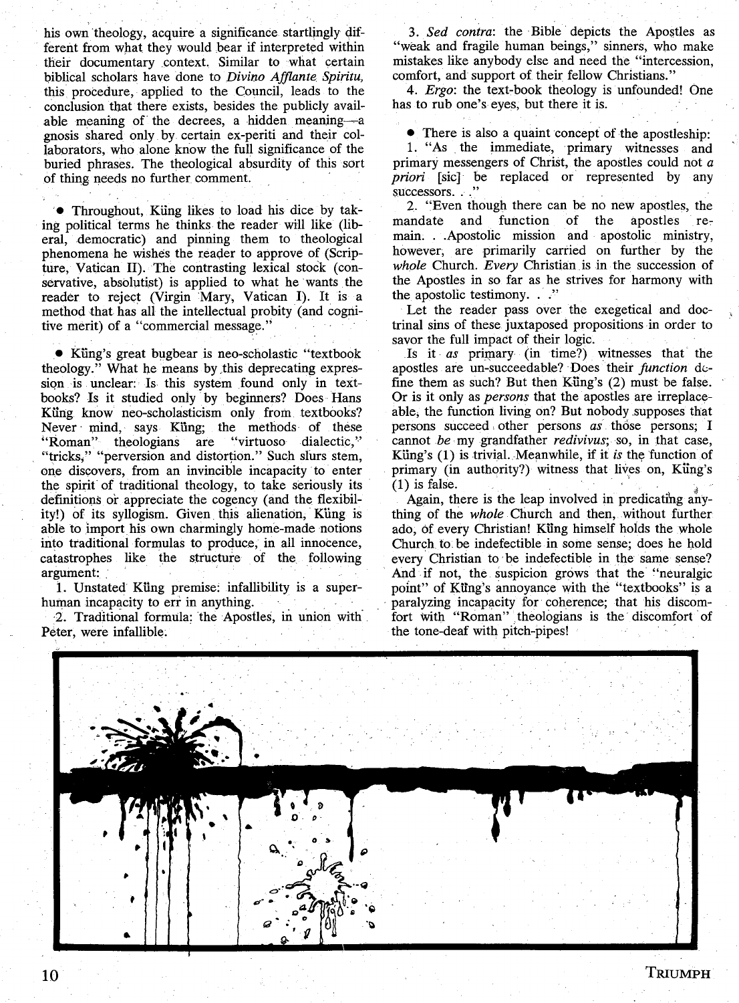his own theology, acquire a significance startlingly different from what they would bear if interpreted within their documentary context. Similar to what certain biblical scholars have done to *Divino Afflante Spiritu,* this procedure, applied to the Council, leads to the conclusion that there exists, besides the publicly available meaning of the decrees, a hidden meaning —a gnosis shared only by certain ex-periti and their collaborators, who alone know the full significance of the buried phrases. The theological absurdity of this sort of thing needs no further comment.

• Throughout, Küng likes to load his dice by taking political terms he thinks the reader will like (liberal, democratic) and pinning them to theological phenomena he wishes the reader to approve of (Scripture, Vatican II). The contrasting lexical stock (conservative, absolutist) is applied to what he wants the reader to reject (Virgin Mary, Vatican I). It is a method that has all the intellectual probity (and cognitive merit) of a "commercial message."

• Küng's great bugbear is neo-scholastic "textbook theology." What he means by this deprecating expression is unclear: Is this system found only in textbooks? Is it studied only by beginners? Does Hans Küng know neo-scholasticism only from textbooks? Never mind, says Küng; the methods of these "Roman" theologians are "virtuoso dialectic," "tricks," "perversion and distortion." Such slurs stem, one discovers, from an invincible incapacity to enter the spirit of traditional theology, to take seriously its definitions or appreciate the cogency (and the flexibility!) of its syllogism. Given this alienation, Küng is able to import his own charmingly home-made notions into traditional formulas to produce, in all innocence, catastrophes like the structure of the following argument:

1. Unstated Küng premise: infallibility is a superhuman incapacity to err in anything.

2. Traditional formula: the Apostles, in union with Peter, were infallible.

3*. Sed contra*: the Bible depicts the Apostles as "weak and fragile human beings," sinners, who make mistakes like anybody else and need the "intercession, comfort, and support of their fellow Christians."

4. *Ergo:* the text-book theology is unfounded! One has to rub one's eyes, but there it is.

• There is also a quaint concept of the apostleship:

1. "As the immediate, primary witnesses and primary messengers of Christ, the apostles could not *a priori* [sic] be replaced or represented by any successors…"

2. "Even though there can be no new apostles, the mandate and function of the apostles remain… Apostolic mission and apostolic ministry, however, are primarily carried on further by the *whole* Church. *Every* Christian is in the succession of the Apostles in so far as he strives for harmony with the apostolic testimony.  $\therefore$ "

Let the reader pass over the exegetical and doctrinal sins of these juxtaposed propositions in order to savor the full impact of their logic.

Is it *as* primary (in time?) witnesses that the apostles are un-succeedable? Does their *function* define them as such? But then Küng's (2) must be false. Or is it only as *persons* that the apostles are irreplaceable, the function living on? But nobody supposes that persons succeed other persons *as* those persons; I cannot be my grandfather *redivivus;* so, in that case, Küng's (1) is trivial. Meanwhile, if it *is* the function of primary (in authority?) witness that lives on, Küng's (1) is false.

Again, there is the leap involved in predicating anything of the *whole* Church and then, without further ado, of every Christian! Küng himself holds the whole Church to be indefectible in some sense; does he hold every Christian to be indefectible in the same sense? And if not, the suspicion grows that the "neuralgic point" of Küng's annoyance with the "textbooks" is a paralyzing incapacity for coherence; that his discomfort with "Roman" theologians is the discomfort of the tone-deaf with pitch-pipes!